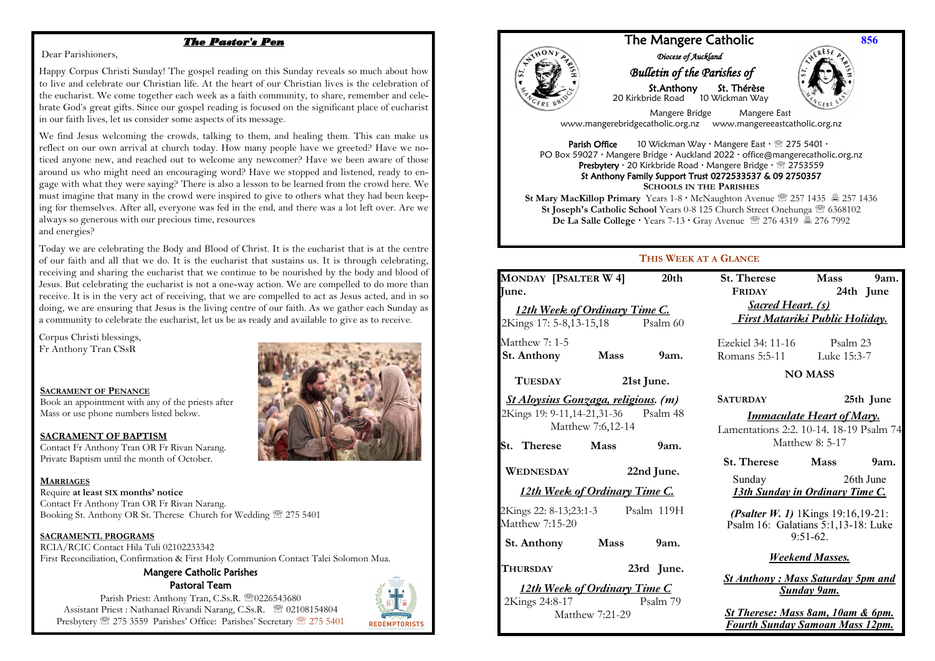## *The Pastor's Pen*

#### Dear Parishioners,

Happy Corpus Christi Sunday! The gospel reading on this Sunday reveals so much about how to live and celebrate our Christian life. At the heart of our Christian lives is the celebration of the eucharist. We come together each week as a faith community, to share, remember and celebrate God's great gifts. Since our gospel reading is focused on the significant place of eucharist in our faith lives, let us consider some aspects of its message.

We find Jesus welcoming the crowds, talking to them, and healing them. This can make us reflect on our own arrival at church today. How many people have we greeted? Have we noticed anyone new, and reached out to welcome any newcomer? Have we been aware of those around us who might need an encouraging word? Have we stopped and listened, ready to engage with what they were saying? There is also a lesson to be learned from the crowd here. We must imagine that many in the crowd were inspired to give to others what they had been keeping for themselves. After all, everyone was fed in the end, and there was a lot left over. Are we always so generous with our precious time, resources and energies?

Today we are celebrating the Body and Blood of Christ. It is the eucharist that is at the centre of our faith and all that we do. It is the eucharist that sustains us. It is through celebrating, receiving and sharing the eucharist that we continue to be nourished by the body and blood of Jesus. But celebrating the eucharist is not a one-way action. We are compelled to do more than receive. It is in the very act of receiving, that we are compelled to act as Jesus acted, and in so doing, we are ensuring that Jesus is the living centre of our faith. As we gather each Sunday as a community to celebrate the eucharist, let us be as ready and available to give as to receive.

Corpus Christi blessings, Fr Anthony Tran CSsR

#### **SACRAMENT OF PENANCE**

Book an appointment with any of the priests after Mass or use phone numbers listed below.

#### **SACRAMENT OF BAPTISM**

 Contact Fr Anthony Tran OR Fr Rivan Narang. Private Baptism until the month of October.

#### **MARRIAGES**

 $\overline{a}$  Booking St. Anthony OR St. Therese Church for Wedding 275 5401 Require **at least SIX months' notice** Contact Fr Anthony Tran OR Fr Rivan Narang.

#### **SACRAMENTL PROGRAMS**

 First Reconciliation, Confirmation & First Holy Communion Contact Talei Solomon Mua. RCIA/RCIC Contact Hila Tuli 02102233342

#### Mangere Catholic Parishes Pastoral Team

Parish Priest: Anthony Tran, C.Ss.R. 20226543680 Assistant Priest : Nathanael Rivandi Narang, C.Ss.R. <sup>2</sup> 02108154804 Presbytery  $\mathfrak{B}$  275 3559 Parishes' Office: Parishes' Secretary  $\mathfrak{B}$  275 5401



**REDEMPTORISTS** 



## The Mangere Catholic *Diocese of Auckland*

# *Bulletin of the Parishes of*

 St.Anthony St. Thérèse 20 Kirkbride Road 10 Wickman Way



**856**

 Mangere Bridge Mangere East www.mangerebridgecatholic.org.nz www.mangereeastcatholic.org.nz

**Parish Office** 10 Wickman Way  $\cdot$  Mangere East  $\cdot \mathcal{D}$  275 5401  $\cdot$ PO Box 59027 · Mangere Bridge · Auckland 2022 · office@mangerecatholic.org.nz Presbytery · 20 Kirkbride Road · Mangere Bridge · 2753559 St Anthony Family Support Trust 0272533537 & 09 2750357 **SCHOOLS IN THE PARISHES**

**St Mary MacKillop Primary** Years 1-8 McNaughton Avenue 257 1435 257 1436 **St Joseph's Catholic School** Years 0-8 125 Church Street Onehunga 6368102 **De La Salle College · Years 7-13 · Gray Avenue**  $\mathbb{R}$  **276 4319**  $\mathbb{R}$  **276 7992** 

### **THIS WEEK AT A GLANCE**

| <b>MONDAY [PSALTER W 4]</b>                                                                        |                 | 20th                 | <b>St. Therese</b>                                                                     | <b>Mass</b> | 9am.             |
|----------------------------------------------------------------------------------------------------|-----------------|----------------------|----------------------------------------------------------------------------------------|-------------|------------------|
| Iune.                                                                                              |                 |                      | <b>FRIDAY</b>                                                                          |             | 24th June        |
| 12th Week of Ordinary Time C.                                                                      |                 |                      | <b>Sacred Heart. (s)</b>                                                               |             |                  |
| 2Kings 17: 5-8,13-15,18 Psalm 60                                                                   |                 |                      | <u>First Matariki Public Holiday.</u>                                                  |             |                  |
| Matthew 7: 1-5                                                                                     |                 |                      | Ezekiel 34: 11-16 Psalm 23                                                             |             |                  |
| <b>St. Anthony</b>                                                                                 | <b>Mass</b>     | 9 <sub>am.</sub>     | Romans 5:5-11 Luke 15:3-7                                                              |             |                  |
| <b>TUESDAY</b>                                                                                     | 21st June.      |                      | <b>NO MASS</b>                                                                         |             |                  |
| <u>St Aloysius Gonzaga, religious</u> . (m)                                                        |                 |                      | <b>SATURDAY</b>                                                                        |             | 25th June        |
| 2Kings 19: 9-11,14-21,31-36 Psalm 48<br>Matthew 7:6,12-14                                          |                 |                      | <u>Immaculate Heart of Mary.</u><br>Lamentations 2:2, 10-14, 18-19 Psalm 74            |             |                  |
| St. Therese Mass                                                                                   |                 | 9am.                 | Matthew 8: 5-17                                                                        |             |                  |
| WEDNESDAY                                                                                          |                 |                      | <b>St. Therese</b> Mass                                                                |             | 9 <sub>am.</sub> |
| 22nd June.                                                                                         |                 | <b>Sunday</b> Sunday |                                                                                        | 26th June   |                  |
| 12th Week of Ordinary Time C.                                                                      |                 |                      | <b>13th Sunday in Ordinary Time C.</b>                                                 |             |                  |
| 2Kings 22: 8-13;23:1-3<br>Matthew 7:15-20<br>St. Anthony Mass                                      |                 | Psalm 119H<br>9am.   | (Psalter W. 1) 1Kings 19:16,19-21:<br>Psalm 16: Galatians 5:1,13-18: Luke              | $9:51-62.$  |                  |
|                                                                                                    |                 |                      | <b>Weekend Masses.</b>                                                                 |             |                  |
| <b>THURSDAY</b><br>23rd June.<br><u>12th Week of Ordinary Time C</u><br>Psalm 79<br>2Kings 24:8-17 |                 |                      | <b>St Anthony: Mass Saturday 5pm and</b><br><b>Sunday 9am.</b>                         |             |                  |
|                                                                                                    | Matthew 7:21-29 |                      | <b>St Therese: Mass 8am, 10am &amp; 6pm.</b><br><b>Fourth Sunday Samoan Mass 12pm.</b> |             |                  |